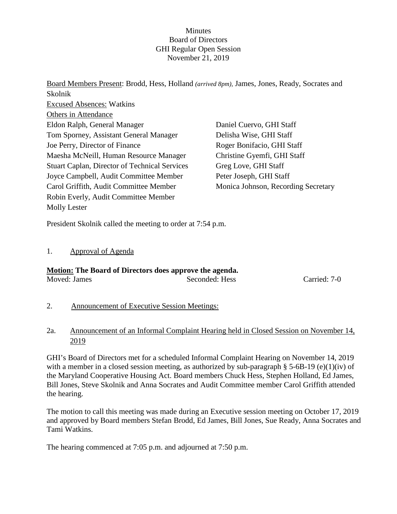#### **Minutes** Board of Directors GHI Regular Open Session November 21, 2019

Board Members Present: Brodd, Hess, Holland *(arrived 8pm),* James, Jones, Ready, Socrates and Skolnik Excused Absences: Watkins Others in Attendance Eldon Ralph, General Manager Tom Sporney, Assistant General Manager Joe Perry, Director of Finance Maesha McNeill, Human Resource Manager Stuart Caplan, Director of Technical Services Joyce Campbell, Audit Committee Member Carol Griffith, Audit Committee Member Robin Everly, Audit Committee Member Molly Lester Daniel Cuervo, GHI Staff Delisha Wise, GHI Staff Roger Bonifacio, GHI Staff Christine Gyemfi, GHI Staff Greg Love, GHI Staff Peter Joseph, GHI Staff Monica Johnson, Recording Secretary

President Skolnik called the meeting to order at 7:54 p.m.

#### 1. Approval of Agenda

# **Motion: The Board of Directors does approve the agenda.**

| Moved: James | Seconded: Hess | Carried: 7-0 |
|--------------|----------------|--------------|
|              |                |              |

- 2. Announcement of Executive Session Meetings:
- 2a. Announcement of an Informal Complaint Hearing held in Closed Session on November 14, 2019

GHI's Board of Directors met for a scheduled Informal Complaint Hearing on November 14, 2019 with a member in a closed session meeting, as authorized by sub-paragraph § 5-6B-19 (e)(1)(iv) of the Maryland Cooperative Housing Act. Board members Chuck Hess, Stephen Holland, Ed James, Bill Jones, Steve Skolnik and Anna Socrates and Audit Committee member Carol Griffith attended the hearing.

The motion to call this meeting was made during an Executive session meeting on October 17, 2019 and approved by Board members Stefan Brodd, Ed James, Bill Jones, Sue Ready, Anna Socrates and Tami Watkins.

The hearing commenced at 7:05 p.m. and adjourned at 7:50 p.m.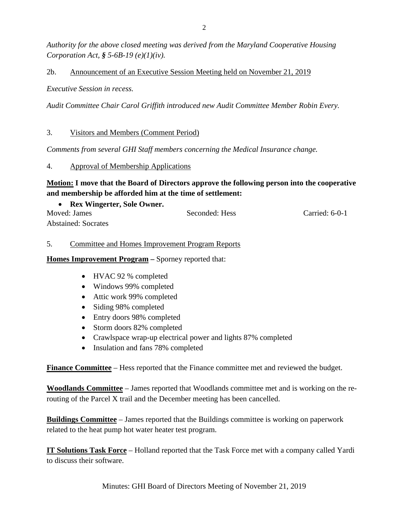*Authority for the above closed meeting was derived from the Maryland Cooperative Housing Corporation Act, § 5-6B-19 (e)(1)(iv).* 

### 2b. Announcement of an Executive Session Meeting held on November 21, 2019

*Executive Session in recess.*

*Audit Committee Chair Carol Griffith introduced new Audit Committee Member Robin Every.*

### 3. Visitors and Members (Comment Period)

*Comments from several GHI Staff members concerning the Medical Insurance change.*

#### 4. Approval of Membership Applications

# **Motion: I move that the Board of Directors approve the following person into the cooperative and membership be afforded him at the time of settlement:**

| <b>Rex Wingerter, Sole Owner.</b> |                |                |
|-----------------------------------|----------------|----------------|
| Moved: James                      | Seconded: Hess | Carried: 6-0-1 |
| <b>Abstained: Socrates</b>        |                |                |

### 5. Committee and Homes Improvement Program Reports

**Homes Improvement Program –** Sporney reported that:

- HVAC 92 % completed
- Windows 99% completed
- Attic work 99% completed
- Siding 98% completed
- Entry doors 98% completed
- Storm doors 82% completed
- Crawlspace wrap-up electrical power and lights 87% completed
- Insulation and fans 78% completed

**Finance Committee** – Hess reported that the Finance committee met and reviewed the budget.

**Woodlands Committee** – James reported that Woodlands committee met and is working on the rerouting of the Parcel X trail and the December meeting has been cancelled.

**Buildings Committee** – James reported that the Buildings committee is working on paperwork related to the heat pump hot water heater test program.

**IT Solutions Task Force** – Holland reported that the Task Force met with a company called Yardi to discuss their software.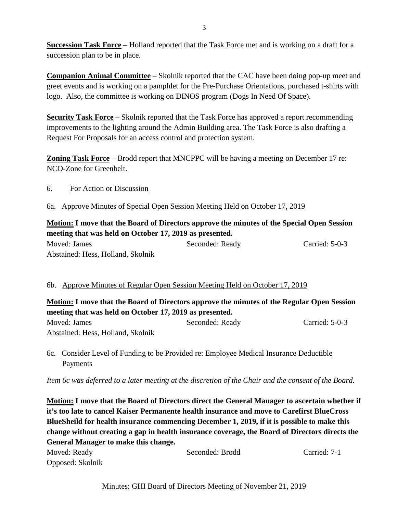**Succession Task Force** – Holland reported that the Task Force met and is working on a draft for a succession plan to be in place.

**Companion Animal Committee** – Skolnik reported that the CAC have been doing pop-up meet and greet events and is working on a pamphlet for the Pre-Purchase Orientations, purchased t-shirts with logo. Also, the committee is working on DINOS program (Dogs In Need Of Space).

**Security Task Force** – Skolnik reported that the Task Force has approved a report recommending improvements to the lighting around the Admin Building area. The Task Force is also drafting a Request For Proposals for an access control and protection system.

**Zoning Task Force** – Brodd report that MNCPPC will be having a meeting on December 17 re: NCO-Zone for Greenbelt.

- 6. For Action or Discussion
- 6a. Approve Minutes of Special Open Session Meeting Held on October 17, 2019

# **Motion: I move that the Board of Directors approve the minutes of the Special Open Session meeting that was held on October 17, 2019 as presented.**

Moved: James Seconded: Ready Carried: 5-0-3 Abstained: Hess, Holland, Skolnik

### 6b. Approve Minutes of Regular Open Session Meeting Held on October 17, 2019

# **Motion: I move that the Board of Directors approve the minutes of the Regular Open Session meeting that was held on October 17, 2019 as presented.**

Moved: James Seconded: Ready Carried: 5-0-3 Abstained: Hess, Holland, Skolnik

### 6c. Consider Level of Funding to be Provided re: Employee Medical Insurance Deductible Payments

*Item 6c was deferred to a later meeting at the discretion of the Chair and the consent of the Board.*

**Motion: I move that the Board of Directors direct the General Manager to ascertain whether if it's too late to cancel Kaiser Permanente health insurance and move to Carefirst BlueCross BlueSheild for health insurance commencing December 1, 2019, if it is possible to make this change without creating a gap in health insurance coverage, the Board of Directors directs the General Manager to make this change.**

| Moved: Ready     | Seconded: Brodd | Carried: 7-1 |
|------------------|-----------------|--------------|
| Opposed: Skolnik |                 |              |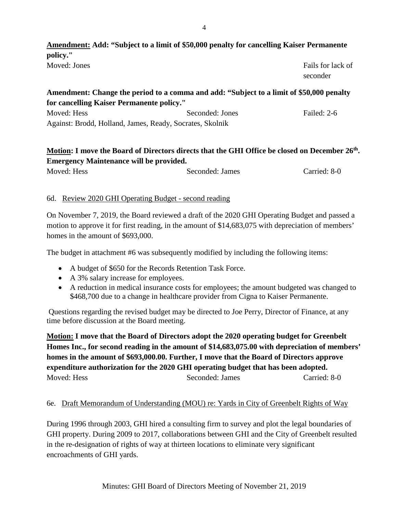# **Amendment: Add: "Subject to a limit of \$50,000 penalty for cancelling Kaiser Permanente policy."** Moved: Jones Fails for lack of seconder

### **Amendment: Change the period to a comma and add: "Subject to a limit of \$50,000 penalty for cancelling Kaiser Permanente policy."**

| Moved: Hess                                              | Seconded: Jones | Failed: 2-6 |
|----------------------------------------------------------|-----------------|-------------|
| Against: Brodd, Holland, James, Ready, Socrates, Skolnik |                 |             |

# **Motion: I move the Board of Directors directs that the GHI Office be closed on December 26th. Emergency Maintenance will be provided.**

Moved: Hess Seconded: James Carried: 8-0

### 6d. Review 2020 GHI Operating Budget - second reading

On November 7, 2019, the Board reviewed a draft of the 2020 GHI Operating Budget and passed a motion to approve it for first reading, in the amount of \$14,683,075 with depreciation of members' homes in the amount of \$693,000.

The budget in attachment #6 was subsequently modified by including the following items:

- A budget of \$650 for the Records Retention Task Force.
- A 3% salary increase for employees.
- A reduction in medical insurance costs for employees; the amount budgeted was changed to \$468,700 due to a change in healthcare provider from Cigna to Kaiser Permanente.

Questions regarding the revised budget may be directed to Joe Perry, Director of Finance, at any time before discussion at the Board meeting.

**Motion: I move that the Board of Directors adopt the 2020 operating budget for Greenbelt Homes Inc., for second reading in the amount of \$14,683,075.00 with depreciation of members' homes in the amount of \$693,000.00. Further, I move that the Board of Directors approve expenditure authorization for the 2020 GHI operating budget that has been adopted.** Moved: Hess Seconded: James Carried: 8-0

### 6e. Draft Memorandum of Understanding (MOU) re: Yards in City of Greenbelt Rights of Way

During 1996 through 2003, GHI hired a consulting firm to survey and plot the legal boundaries of GHI property. During 2009 to 2017, collaborations between GHI and the City of Greenbelt resulted in the re-designation of rights of way at thirteen locations to eliminate very significant encroachments of GHI yards.

4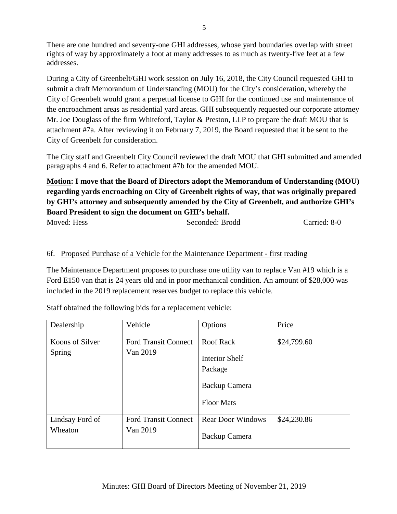There are one hundred and seventy-one GHI addresses, whose yard boundaries overlap with street rights of way by approximately a foot at many addresses to as much as twenty-five feet at a few addresses.

During a City of Greenbelt/GHI work session on July 16, 2018, the City Council requested GHI to submit a draft Memorandum of Understanding (MOU) for the City's consideration, whereby the City of Greenbelt would grant a perpetual license to GHI for the continued use and maintenance of the encroachment areas as residential yard areas. GHI subsequently requested our corporate attorney Mr. Joe Douglass of the firm Whiteford, Taylor & Preston, LLP to prepare the draft MOU that is attachment #7a. After reviewing it on February 7, 2019, the Board requested that it be sent to the City of Greenbelt for consideration.

The City staff and Greenbelt City Council reviewed the draft MOU that GHI submitted and amended paragraphs 4 and 6. Refer to attachment #7b for the amended MOU.

**Motion: I move that the Board of Directors adopt the Memorandum of Understanding (MOU) regarding yards encroaching on City of Greenbelt rights of way, that was originally prepared by GHI's attorney and subsequently amended by the City of Greenbelt, and authorize GHI's Board President to sign the document on GHI's behalf.**

```
Moved: Hess Seconded: Brodd Carried: 8-0
```
### 6f. Proposed Purchase of a Vehicle for the Maintenance Department - first reading

The Maintenance Department proposes to purchase one utility van to replace Van #19 which is a Ford E150 van that is 24 years old and in poor mechanical condition. An amount of \$28,000 was included in the 2019 replacement reserves budget to replace this vehicle.

Staff obtained the following bids for a replacement vehicle:

| Dealership                 | Vehicle                                 | Options                                                                                    | Price       |
|----------------------------|-----------------------------------------|--------------------------------------------------------------------------------------------|-------------|
| Koons of Silver<br>Spring  | <b>Ford Transit Connect</b><br>Van 2019 | <b>Roof Rack</b><br><b>Interior Shelf</b><br>Package<br>Backup Camera<br><b>Floor Mats</b> | \$24,799.60 |
| Lindsay Ford of<br>Wheaton | <b>Ford Transit Connect</b><br>Van 2019 | <b>Rear Door Windows</b><br>Backup Camera                                                  | \$24,230.86 |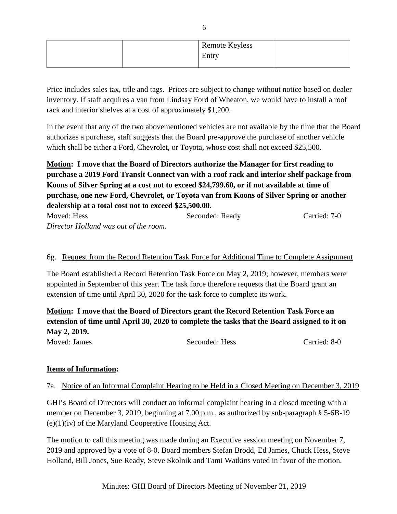|  | <b>Remote Keyless</b> |  |
|--|-----------------------|--|
|  | Entry                 |  |
|  |                       |  |

Price includes sales tax, title and tags. Prices are subject to change without notice based on dealer inventory. If staff acquires a van from Lindsay Ford of Wheaton, we would have to install a roof rack and interior shelves at a cost of approximately \$1,200.

In the event that any of the two abovementioned vehicles are not available by the time that the Board authorizes a purchase, staff suggests that the Board pre-approve the purchase of another vehicle which shall be either a Ford, Chevrolet, or Toyota, whose cost shall not exceed \$25,500.

**Motion: I move that the Board of Directors authorize the Manager for first reading to purchase a 2019 Ford Transit Connect van with a roof rack and interior shelf package from Koons of Silver Spring at a cost not to exceed \$24,799.60, or if not available at time of purchase, one new Ford, Chevrolet, or Toyota van from Koons of Silver Spring or another dealership at a total cost not to exceed \$25,500.00.**

| Moved: Hess                           | Seconded: Ready | Carried: 7-0 |
|---------------------------------------|-----------------|--------------|
| Director Holland was out of the room. |                 |              |

### 6g. Request from the Record Retention Task Force for Additional Time to Complete Assignment

The Board established a Record Retention Task Force on May 2, 2019; however, members were appointed in September of this year. The task force therefore requests that the Board grant an extension of time until April 30, 2020 for the task force to complete its work.

**Motion: I move that the Board of Directors grant the Record Retention Task Force an extension of time until April 30, 2020 to complete the tasks that the Board assigned to it on May 2, 2019.** Moved: James Seconded: Hess Carried: 8-0

#### **Items of Information:**

#### 7a. Notice of an Informal Complaint Hearing to be Held in a Closed Meeting on December 3, 2019

GHI's Board of Directors will conduct an informal complaint hearing in a closed meeting with a member on December 3, 2019, beginning at 7.00 p.m., as authorized by sub-paragraph § 5-6B-19  $(e)(1)(iv)$  of the Maryland Cooperative Housing Act.

The motion to call this meeting was made during an Executive session meeting on November 7, 2019 and approved by a vote of 8-0. Board members Stefan Brodd, Ed James, Chuck Hess, Steve Holland, Bill Jones, Sue Ready, Steve Skolnik and Tami Watkins voted in favor of the motion.